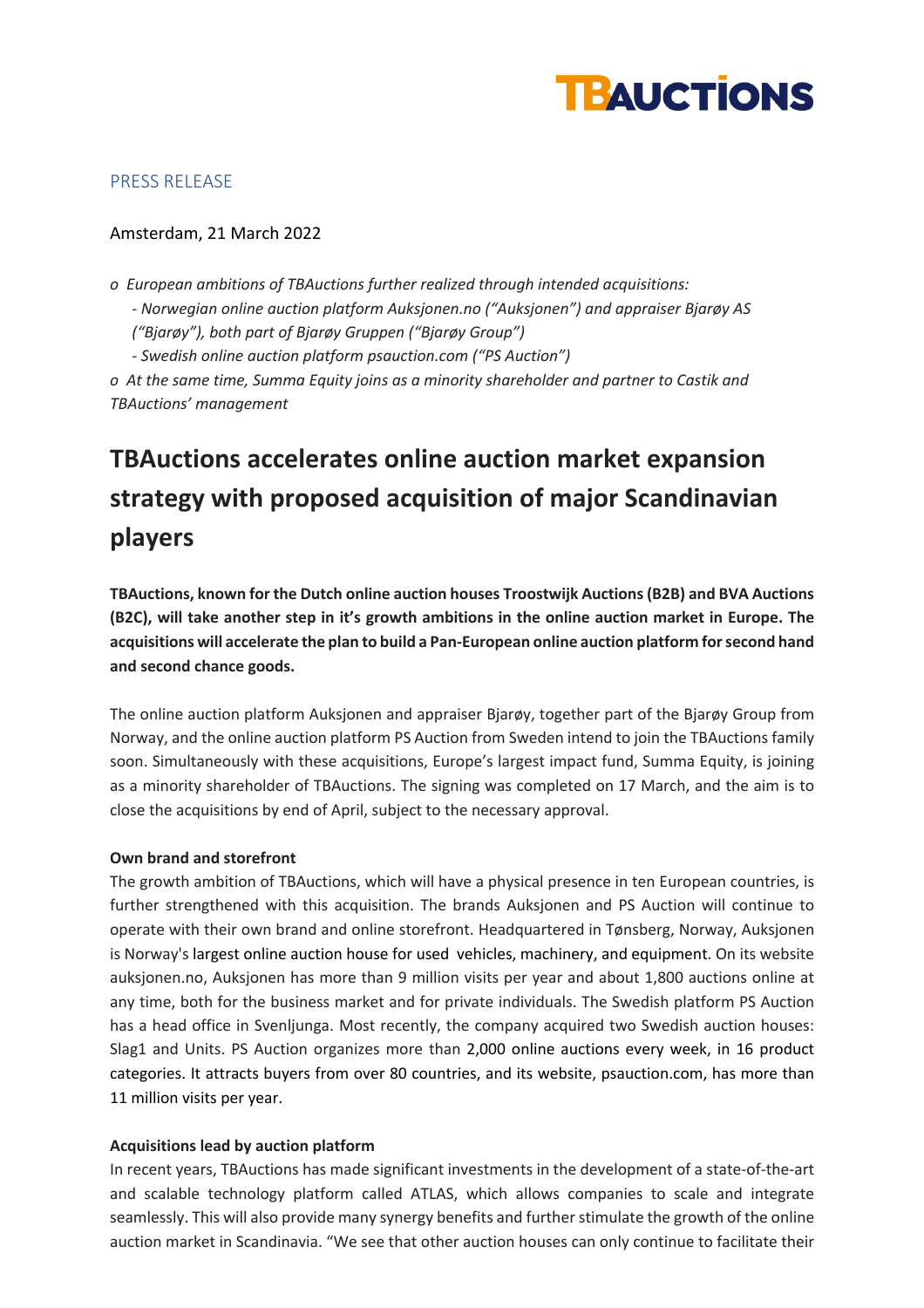

# PRESS RELEASE

# Amsterdam, 21 March 2022

*o European ambitions of TBAuctions further realized through intended acquisitions: - Norwegian online auction platform Auksjonen.no ("Auksjonen") and appraiser Bjarøy AS ("Bjarøy"), both part of Bjarøy Gruppen ("Bjarøy Group") - Swedish online auction platform psauction.com ("PS Auction") o At the same time, Summa Equity joins as a minority shareholder and partner to Castik and* 

*TBAuctions' management*

# **TBAuctions accelerates online auction market expansion strategy with proposed acquisition of major Scandinavian players**

**TBAuctions, known for the Dutch online auction houses Troostwijk Auctions (B2B) and BVA Auctions (B2C), will take another step in it's growth ambitions in the online auction market in Europe. The acquisitions will accelerate the plan to build a Pan-European online auction platform for second hand and second chance goods.** 

The online auction platform Auksjonen and appraiser Bjarøy, together part of the Bjarøy Group from Norway, and the online auction platform PS Auction from Sweden intend to join the TBAuctions family soon. Simultaneously with these acquisitions, Europe's largest impact fund, Summa Equity, is joining as a minority shareholder of TBAuctions. The signing was completed on 17 March, and the aim is to close the acquisitions by end of April, subject to the necessary approval.

## **Own brand and storefront**

The growth ambition of TBAuctions, which will have a physical presence in ten European countries, is further strengthened with this acquisition. The brands Auksjonen and PS Auction will continue to operate with their own brand and online storefront. Headquartered in Tønsberg, Norway, Auksjonen is Norway's largest online auction house for used vehicles, machinery, and equipment. On its website auksjonen.no, Auksjonen has more than 9 million visits per year and about 1,800 auctions online at any time, both for the business market and for private individuals. The Swedish platform PS Auction has a head office in Svenljunga. Most recently, the company acquired two Swedish auction houses: Slag1 and Units. PS Auction organizes more than 2,000 online auctions every week, in 16 product categories. It attracts buyers from over 80 countries, and its website, psauction.com, has more than 11 million visits per year.

## **Acquisitions lead by auction platform**

In recent years, TBAuctions has made significant investments in the development of a state-of-the-art and scalable technology platform called ATLAS, which allows companies to scale and integrate seamlessly. This will also provide many synergy benefits and further stimulate the growth of the online auction market in Scandinavia. "We see that other auction houses can only continue to facilitate their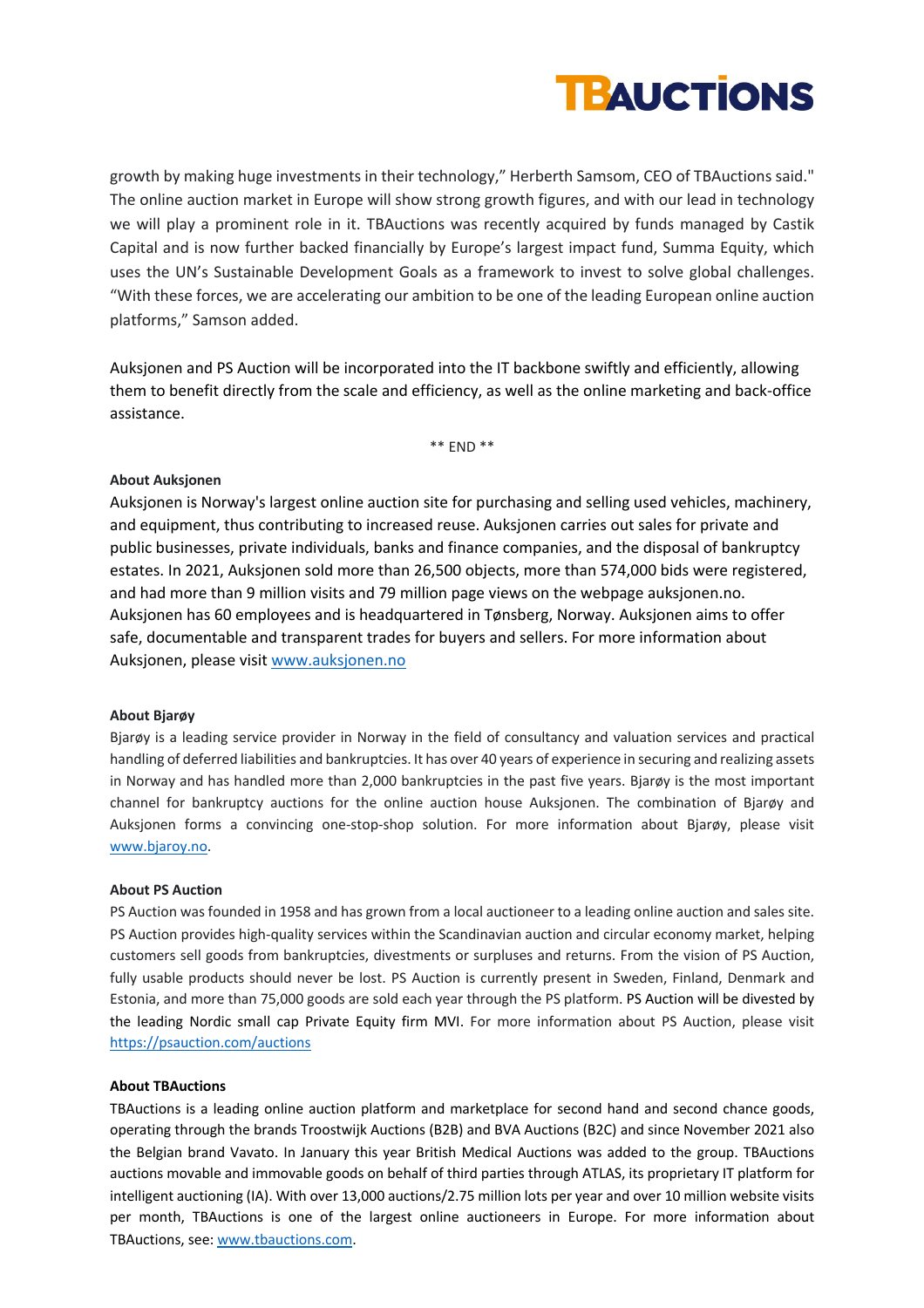

growth by making huge investments in their technology," Herberth Samsom, CEO of TBAuctions said." The online auction market in Europe will show strong growth figures, and with our lead in technology we will play a prominent role in it. TBAuctions was recently acquired by funds managed by Castik Capital and is now further backed financially by Europe's largest impact fund, Summa Equity, which uses the UN's Sustainable Development Goals as a framework to invest to solve global challenges. "With these forces, we are accelerating our ambition to be one of the leading European online auction platforms," Samson added.

Auksjonen and PS Auction will be incorporated into the IT backbone swiftly and efficiently, allowing them to benefit directly from the scale and efficiency, as well as the online marketing and back-office assistance.

\*\* END \*\*

## **About Auksjonen**

Auksjonen is Norway's largest online auction site for purchasing and selling used vehicles, machinery, and equipment, thus contributing to increased reuse. Auksjonen carries out sales for private and public businesses, private individuals, banks and finance companies, and the disposal of bankruptcy estates. In 2021, Auksjonen sold more than 26,500 objects, more than 574,000 bids were registered, and had more than 9 million visits and 79 million page views on the webpage auksjonen.no. Auksjonen has 60 employees and is headquartered in Tønsberg, Norway. Auksjonen aims to offer safe, documentable and transparent trades for buyers and sellers. For more information about Auksjonen, please visit www.auksjonen.no

#### **About Bjarøy**

Bjarøy is a leading service provider in Norway in the field of consultancy and valuation services and practical handling of deferred liabilities and bankruptcies. It has over 40 years of experience in securing and realizing assets in Norway and has handled more than 2,000 bankruptcies in the past five years. Bjarøy is the most important channel for bankruptcy auctions for the online auction house Auksjonen. The combination of Bjarøy and Auksjonen forms a convincing one-stop-shop solution. For more information about Bjarøy, please visit www.bjaroy.no.

#### **About PS Auction**

PS Auction was founded in 1958 and has grown from a local auctioneer to a leading online auction and sales site. PS Auction provides high-quality services within the Scandinavian auction and circular economy market, helping customers sell goods from bankruptcies, divestments or surpluses and returns. From the vision of PS Auction, fully usable products should never be lost. PS Auction is currently present in Sweden, Finland, Denmark and Estonia, and more than 75,000 goods are sold each year through the PS platform. PS Auction will be divested by the leading Nordic small cap Private Equity firm MVI. For more information about PS Auction, please visit https://psauction.com/auctions

#### **About TBAuctions**

TBAuctions is a leading online auction platform and marketplace for second hand and second chance goods, operating through the brands Troostwijk Auctions (B2B) and BVA Auctions (B2C) and since November 2021 also the Belgian brand Vavato. In January this year British Medical Auctions was added to the group. TBAuctions auctions movable and immovable goods on behalf of third parties through ATLAS, its proprietary IT platform for intelligent auctioning (IA). With over 13,000 auctions/2.75 million lots per year and over 10 million website visits per month, TBAuctions is one of the largest online auctioneers in Europe. For more information about TBAuctions, see: www.tbauctions.com.